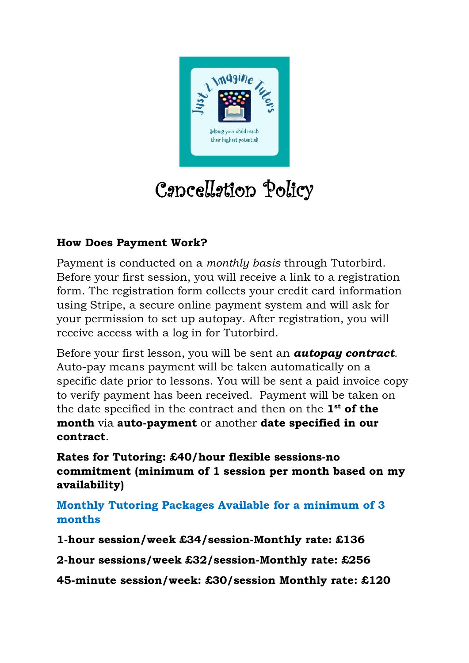

# Cancellation Policy

#### **How Does Payment Work?**

Payment is conducted on a *monthly basis* through Tutorbird. Before your first session, you will receive a link to a registration form. The registration form collects your credit card information using Stripe, a secure online payment system and will ask for your permission to set up autopay. After registration, you will receive access with a log in for Tutorbird.

Before your first lesson, you will be sent an *autopay contract.* Auto-pay means payment will be taken automatically on a specific date prior to lessons. You will be sent a paid invoice copy to verify payment has been received. Payment will be taken on the date specified in the contract and then on the **1st of the month** via **auto-payment** or another **date specified in our contract**.

**Rates for Tutoring: £40/hour flexible sessions-no commitment (minimum of 1 session per month based on my availability)**

**Monthly Tutoring Packages Available for a minimum of 3 months**

**1-hour session/week £34/session-Monthly rate: £136**

**2-hour sessions/week £32/session-Monthly rate: £256**

**45-minute session/week: £30/session Monthly rate: £120**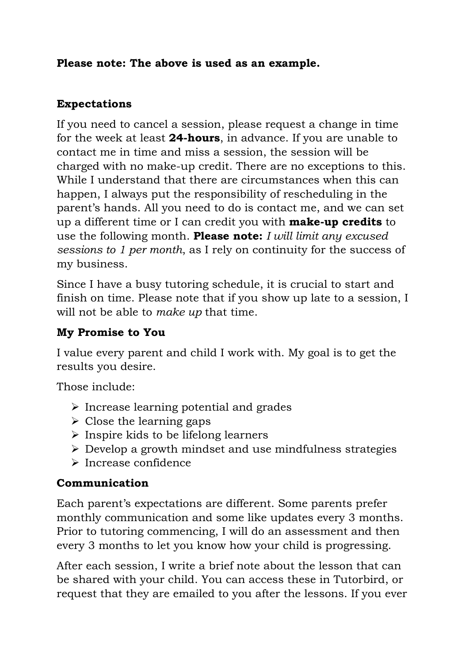#### **Please note: The above is used as an example.**

#### **Expectations**

If you need to cancel a session, please request a change in time for the week at least **24-hours**, in advance. If you are unable to contact me in time and miss a session, the session will be charged with no make-up credit. There are no exceptions to this. While I understand that there are circumstances when this can happen, I always put the responsibility of rescheduling in the parent's hands. All you need to do is contact me, and we can set up a different time or I can credit you with **make-up credits** to use the following month. **Please note:** *I will limit any excused sessions to 1 per month*, as I rely on continuity for the success of my business.

Since I have a busy tutoring schedule, it is crucial to start and finish on time. Please note that if you show up late to a session, I will not be able to *make up* that time.

#### **My Promise to You**

I value every parent and child I work with. My goal is to get the results you desire.

Those include:

- $\triangleright$  Increase learning potential and grades
- $\triangleright$  Close the learning gaps
- $\triangleright$  Inspire kids to be lifelong learners
- $\triangleright$  Develop a growth mindset and use mindfulness strategies
- Increase confidence

## **Communication**

Each parent's expectations are different. Some parents prefer monthly communication and some like updates every 3 months. Prior to tutoring commencing, I will do an assessment and then every 3 months to let you know how your child is progressing.

After each session, I write a brief note about the lesson that can be shared with your child. You can access these in Tutorbird, or request that they are emailed to you after the lessons. If you ever